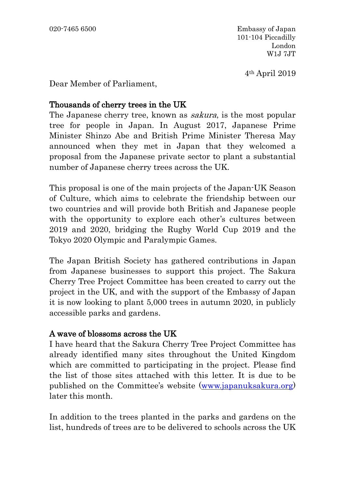4th April 2019

Dear Member of Parliament,

## Thousands of cherry trees in the UK

The Japanese cherry tree, known as *sakura*, is the most popular tree for people in Japan. In August 2017, Japanese Prime Minister Shinzo Abe and British Prime Minister Theresa May announced when they met in Japan that they welcomed a proposal from the Japanese private sector to plant a substantial number of Japanese cherry trees across the UK.

This proposal is one of the main projects of the Japan-UK Season of Culture, which aims to celebrate the friendship between our two countries and will provide both British and Japanese people with the opportunity to explore each other's cultures between 2019 and 2020, bridging the Rugby World Cup 2019 and the Tokyo 2020 Olympic and Paralympic Games.

The Japan British Society has gathered contributions in Japan from Japanese businesses to support this project. The Sakura Cherry Tree Project Committee has been created to carry out the project in the UK, and with the support of the Embassy of Japan it is now looking to plant 5,000 trees in autumn 2020, in publicly accessible parks and gardens.

## A wave of blossoms across the UK

I have heard that the Sakura Cherry Tree Project Committee has already identified many sites throughout the United Kingdom which are committed to participating in the project. Please find the list of those sites attached with this letter. It is due to be published on the Committee's website [\(www.japanuksakura.org\)](http://www.japanuksakura.org/) later this month.

In addition to the trees planted in the parks and gardens on the list, hundreds of trees are to be delivered to schools across the UK